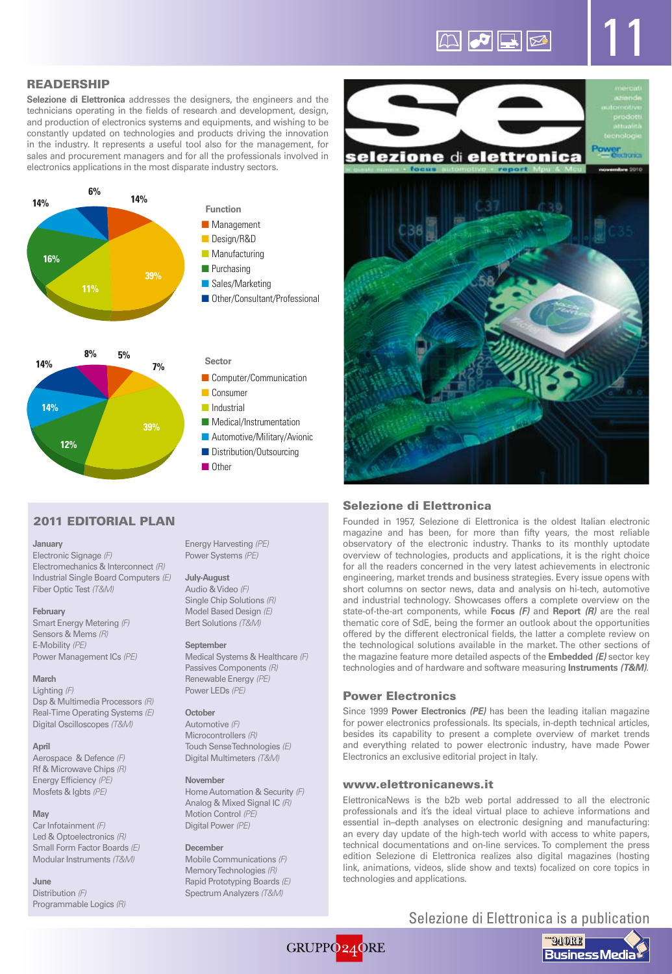# $\mathbb{Z}$   $\sigma$   $\mathbb{R}$   $\mathbb{Z}$

11

# READERSHIP

**Selezione di Elettronica** addresses the designers, the engineers and the technicians operating in the fields of research and development, design, and production of electronics systems and equipments, and wishing to be constantly updated on technologies and products driving the innovation in the industry. It represents a useful tool also for the management, for sales and procurement managers and for all the professionals involved in electronics applications in the most disparate industry sectors.





# 2011 EDITORIAL PLAN

### **January**

Electronic Signage *(F)* Electromechanics & Interconnect *(R)* Industrial Single Board Computers *(E)* Fiber Optic Test *(T&M)*

### **February**

Smart Energy Metering *(F)* Sensors & Mems *(R)* E-Mobility *(PE)* Power Management ICs *(PE)*

### **March**

Lighting *(F)* Dsp & Multimedia Processors *(R)* Real-Time Operating Systems *(E)* Digital Oscilloscopes *(T&M)*

### **April**

Aerospace & Defence *(F)* Rf & Microwave Chips *(R)* Energy Efficiency *(PE)* Mosfets & Igbts *(PE)*

# **May**

Car Infotainment *(F)* Led & Optoelectronics *(R)* Small Form Factor Boards *(E)* Modular Instruments *(T&M)*

### **June**

Distribution *(F)* Programmable Logics *(R)* Energy Harvesting *(PE)* Power Systems *(PE)*

■ Computer/Communication

■ Medical/Instrumentation ■ Automotive/Military/Avionic ■ Distribution/Outsourcing

■ Consumer ■ Industrial

**Sector**

■ Other

### **July-August**

Bert Solutions *(T&M)*

### **September**

Medical Systems & Healthcare *(F)* Passives Components *(R)* Renewable Energy *(PE)* Power LEDs *(PE)*

### **October**

Automotive *(F)* Microcontrollers *(R)* Touch Sense Technologies *(E)* Digital Multimeters *(T&M)*

### **November**

Home Automation & Security *(F)* Analog & Mixed Signal IC *(R)* Motion Control *(PE)* Digital Power *(PE)*

# **December**

Mobile Communications *(F)* Memory Technologies *(R)* Rapid Prototyping Boards *(E)* Spectrum Analyzers *(T&M)*



# Selezione di Elettronica

Founded in 1957, Selezione di Elettronica is the oldest Italian electronic magazine and has been, for more than fifty years, the most reliable observatory of the electronic industry. Thanks to its monthly uptodate overview of technologies, products and applications, it is the right choice for all the readers concerned in the very latest achievements in electronic engineering, market trends and business strategies. Every issue opens with short columns on sector news, data and analysis on hi-tech, automotive and industrial technology. Showcases offers a complete overview on the state-of-the-art components, while **Focus** *(F)* and **Report** *(R)* are the real thematic core of SdE, being the former an outlook about the opportunities offered by the different electronical fields, the latter a complete review on the technological solutions available in the market. The other sections of the magazine feature more detailed aspects of the **Embedded** *(E)* sector key technologies and of hardware and software measuring **Instruments** *(T&M)*.

# Power Electronics

Since 1999 **Power Electronics** *(PE)* has been the leading italian magazine for power electronics professionals. Its specials, in-depth technical articles, besides its capability to present a complete overview of market trends and everything related to power electronic industry, have made Power Electronics an exclusive editorial project in Italy.

### www.elettronicanews.it

ElettronicaNews is the b2b web portal addressed to all the electronic professionals and it's the ideal virtual place to achieve informations and essential in–depth analyses on electronic designing and manufacturing: an every day update of the high-tech world with access to white papers, technical documentations and on-line services. To complement the press edition Selezione di Elettronica realizes also digital magazines (hosting link, animations, videos, slide show and texts) focalized on core topics in technologies and applications.

# Selezione di Elettronica is a publication



# GRUPPO<sub>24</sub>ORE

Audio & Video *(F)* Single Chip Solutions *(R)* Model Based Design *(E)*